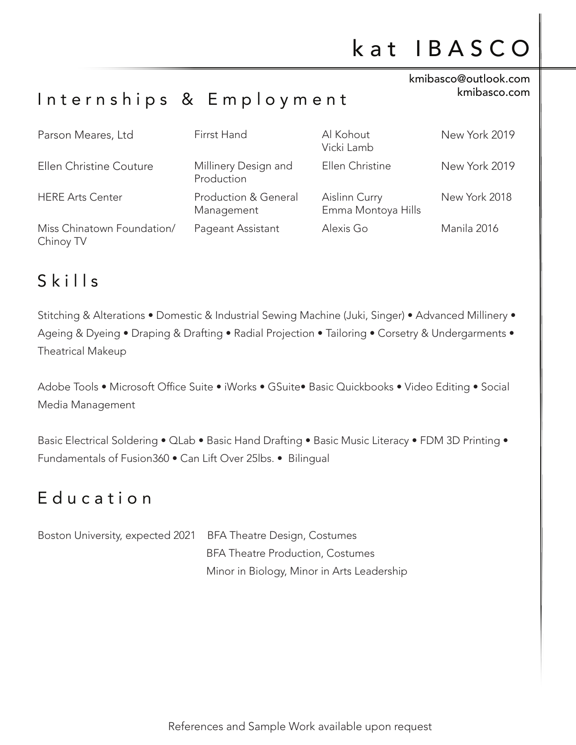#### kmibasco@outlook.com kmibasco.com

#### Internships & Employment

| Parson Meares, Ltd                      | Firrst Hand                        | Al Kohout<br>Vicki Lamb             | New York 2019 |
|-----------------------------------------|------------------------------------|-------------------------------------|---------------|
| Ellen Christine Couture                 | Millinery Design and<br>Production | Ellen Christine                     | New York 2019 |
| <b>HERE Arts Center</b>                 | Production & General<br>Management | Aislinn Curry<br>Emma Montoya Hills | New York 2018 |
| Miss Chinatown Foundation/<br>Chinoy TV | Pageant Assistant                  | Alexis Go                           | Manila 2016   |

### $S$  k i  $l$  l s

Stitching & Alterations • Domestic & Industrial Sewing Machine (Juki, Singer) • Advanced Millinery • Ageing & Dyeing • Draping & Drafting • Radial Projection • Tailoring • Corsetry & Undergarments • Theatrical Makeup

Adobe Tools • Microsoft Office Suite • iWorks • GSuite• Basic Quickbooks • Video Editing • Social Media Management

Basic Electrical Soldering • QLab • Basic Hand Drafting • Basic Music Literacy • FDM 3D Printing • Fundamentals of Fusion360 • Can Lift Over 25lbs. • Bilingual

#### E d u c a t i o n

| Boston University, expected 2021 BFA Theatre Design, Costumes |                                            |  |
|---------------------------------------------------------------|--------------------------------------------|--|
|                                                               | <b>BFA Theatre Production, Costumes</b>    |  |
|                                                               | Minor in Biology, Minor in Arts Leadership |  |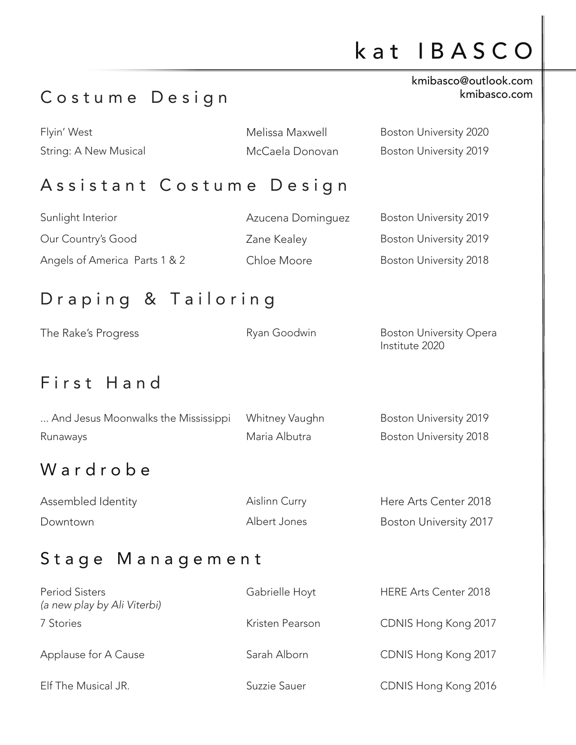# k a t I B A S C O

### Costume Design

#### kmibasco@outlook.com kmibasco.com

| Flyin' West           | Melissa Maxwell | Boston University 2020        |
|-----------------------|-----------------|-------------------------------|
| String: A New Musical | McCaela Donovan | <b>Boston University 2019</b> |

#### Assistant Costume Design

| Sunlight Interior             | Azucena Dominguez | Boston University 2019        |
|-------------------------------|-------------------|-------------------------------|
| Our Country's Good            | Zane Kealey       | Boston University 2019        |
| Angels of America Parts 1 & 2 | Chloe Moore       | <b>Boston University 2018</b> |

### D r a p ing & Tailoring

| The Rake's Progress | Ryan Goodwin | <b>Boston University Opera</b> |
|---------------------|--------------|--------------------------------|
|                     |              | Institute 2020                 |

#### First Hand

| And Jesus Moonwalks the Mississippi | Whitney Vaughn | Boston University 2019        |
|-------------------------------------|----------------|-------------------------------|
| Runaways                            | Maria Albutra  | <b>Boston University 2018</b> |
| - - -                               |                |                               |

#### W ard r o b e

| Assembled Identity | Aislinn Curry | Here Arts Center 2018         |
|--------------------|---------------|-------------------------------|
| Downtown           | Albert Jones  | <b>Boston University 2017</b> |

### Stage Management

| <b>Period Sisters</b><br>(a new play by Ali Viterbi) | Gabrielle Hoyt  | <b>HERE Arts Center 2018</b> |
|------------------------------------------------------|-----------------|------------------------------|
| 7 Stories                                            | Kristen Pearson | CDNIS Hong Kong 2017         |
| Applause for A Cause                                 | Sarah Alborn    | CDNIS Hong Kong 2017         |
| Elf The Musical JR.                                  | Suzzie Sauer    | CDNIS Hong Kong 2016         |